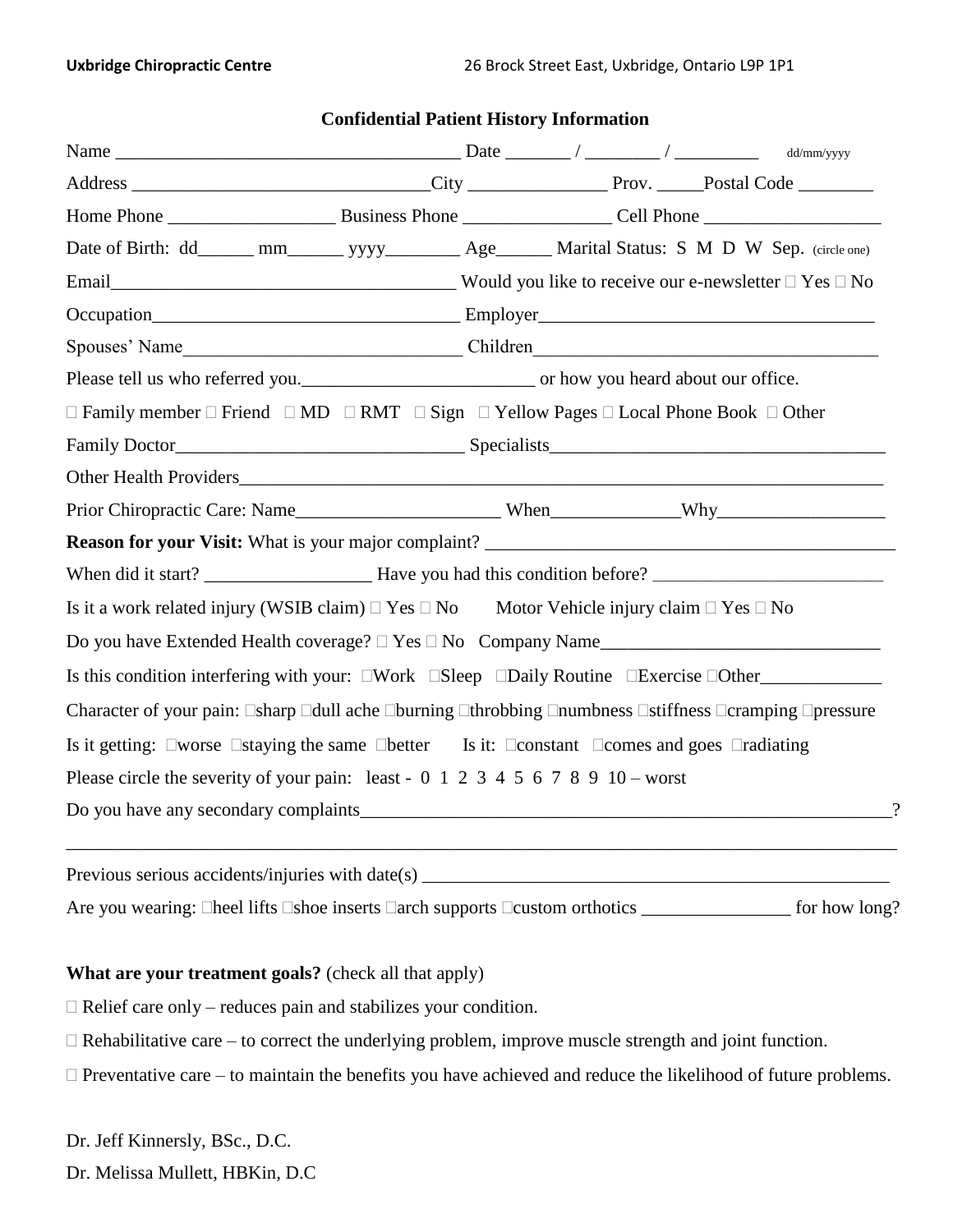| Date of Birth: dd______ mm________ yyyy__________ Age_______ Marital Status: S M D W Sep. (circle one)                                            |  |  |                                                                                                                                                                                                                                                                                                                                                                                                                      |
|---------------------------------------------------------------------------------------------------------------------------------------------------|--|--|----------------------------------------------------------------------------------------------------------------------------------------------------------------------------------------------------------------------------------------------------------------------------------------------------------------------------------------------------------------------------------------------------------------------|
|                                                                                                                                                   |  |  |                                                                                                                                                                                                                                                                                                                                                                                                                      |
|                                                                                                                                                   |  |  |                                                                                                                                                                                                                                                                                                                                                                                                                      |
|                                                                                                                                                   |  |  |                                                                                                                                                                                                                                                                                                                                                                                                                      |
|                                                                                                                                                   |  |  |                                                                                                                                                                                                                                                                                                                                                                                                                      |
| $\Box$ Family member $\Box$ Friend $\Box$ MD $\Box$ RMT $\Box$ Sign $\Box$ Yellow Pages $\Box$ Local Phone Book $\Box$ Other                      |  |  |                                                                                                                                                                                                                                                                                                                                                                                                                      |
|                                                                                                                                                   |  |  |                                                                                                                                                                                                                                                                                                                                                                                                                      |
|                                                                                                                                                   |  |  |                                                                                                                                                                                                                                                                                                                                                                                                                      |
|                                                                                                                                                   |  |  |                                                                                                                                                                                                                                                                                                                                                                                                                      |
|                                                                                                                                                   |  |  |                                                                                                                                                                                                                                                                                                                                                                                                                      |
|                                                                                                                                                   |  |  |                                                                                                                                                                                                                                                                                                                                                                                                                      |
| Is it a work related injury (WSIB claim) $\Box$ Yes $\Box$ No Motor Vehicle injury claim $\Box$ Yes $\Box$ No                                     |  |  |                                                                                                                                                                                                                                                                                                                                                                                                                      |
|                                                                                                                                                   |  |  |                                                                                                                                                                                                                                                                                                                                                                                                                      |
| Is this condition interfering with your: □Work □Sleep □Daily Routine □Exercise □Other_____________                                                |  |  |                                                                                                                                                                                                                                                                                                                                                                                                                      |
| Character of your pain: □sharp □dull ache □burning □throbbing □numbness □stiffness □cramping □pressure                                            |  |  |                                                                                                                                                                                                                                                                                                                                                                                                                      |
| Is it getting: $\square$ worse $\square$ staying the same $\square$ better Is it: $\square$ constant $\square$ comes and goes $\square$ radiating |  |  |                                                                                                                                                                                                                                                                                                                                                                                                                      |
| Please circle the severity of your pain: least - $0\ 1\ 2\ 3\ 4\ 5\ 6\ 7\ 8\ 9\ 10$ - worst                                                       |  |  |                                                                                                                                                                                                                                                                                                                                                                                                                      |
|                                                                                                                                                   |  |  | $\gamma$                                                                                                                                                                                                                                                                                                                                                                                                             |
|                                                                                                                                                   |  |  |                                                                                                                                                                                                                                                                                                                                                                                                                      |
|                                                                                                                                                   |  |  | $\frac{1}{\sqrt{1-\frac{1}{2}}\sqrt{1-\frac{1}{2}}\sqrt{1-\frac{1}{2}}\sqrt{1-\frac{1}{2}}\sqrt{1-\frac{1}{2}}\sqrt{1-\frac{1}{2}}\sqrt{1-\frac{1}{2}}\sqrt{1-\frac{1}{2}}\sqrt{1-\frac{1}{2}}\sqrt{1-\frac{1}{2}}\sqrt{1-\frac{1}{2}}\sqrt{1-\frac{1}{2}}\sqrt{1-\frac{1}{2}}\sqrt{1-\frac{1}{2}}\sqrt{1-\frac{1}{2}}\sqrt{1-\frac{1}{2}}\sqrt{1-\frac{1}{2}}\sqrt{1-\frac{1}{2}}\sqrt{1-\frac{1}{2}}\sqrt{1-\frac$ |

### **Confidential Patient History Information**

### **What are your treatment goals?** (check all that apply)

 $\Box$  Relief care only – reduces pain and stabilizes your condition.

 $\Box$  Rehabilitative care – to correct the underlying problem, improve muscle strength and joint function.

 $\Box$  Preventative care – to maintain the benefits you have achieved and reduce the likelihood of future problems.

Dr. Jeff Kinnersly, BSc., D.C.

Dr. Melissa Mullett, HBKin, D.C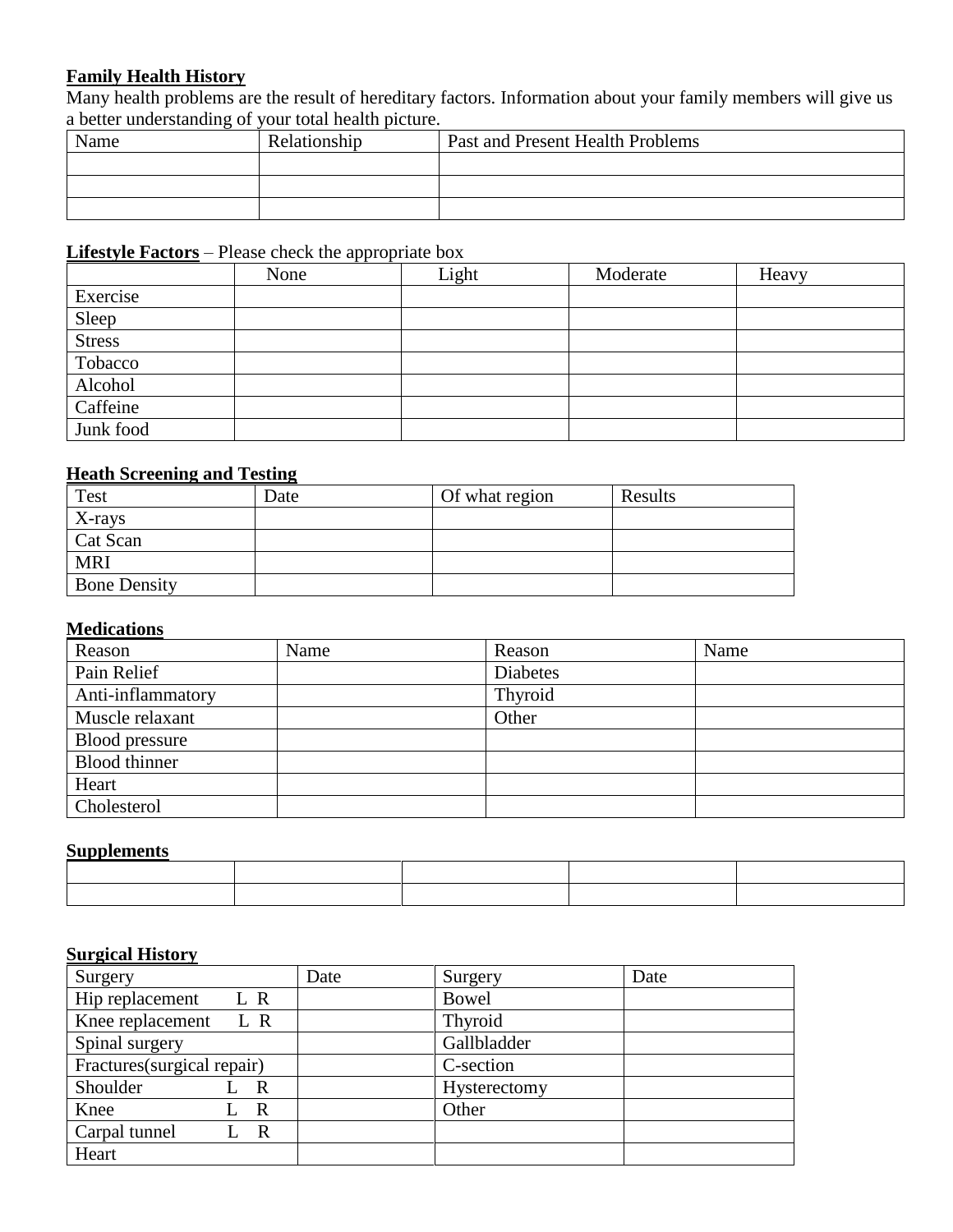## **Family Health History**

Many health problems are the result of hereditary factors. Information about your family members will give us a better understanding of your total health picture.

| Name | Relationship | Past and Present Health Problems |
|------|--------------|----------------------------------|
|      |              |                                  |
|      |              |                                  |
|      |              |                                  |

# **Lifestyle Factors** – Please check the appropriate box

|               | None | Light | Moderate | Heavy |
|---------------|------|-------|----------|-------|
| Exercise      |      |       |          |       |
| Sleep         |      |       |          |       |
| <b>Stress</b> |      |       |          |       |
| Tobacco       |      |       |          |       |
| Alcohol       |      |       |          |       |
| Caffeine      |      |       |          |       |
| Junk food     |      |       |          |       |

## **Heath Screening and Testing**

| <b>Test</b>         | Date | Of what region | Results |
|---------------------|------|----------------|---------|
| X-rays              |      |                |         |
| Cat Scan            |      |                |         |
| <b>MRI</b>          |      |                |         |
| <b>Bone Density</b> |      |                |         |

### **Medications**

| Reason            | Name | Reason          | Name |
|-------------------|------|-----------------|------|
| Pain Relief       |      | <b>Diabetes</b> |      |
| Anti-inflammatory |      | Thyroid         |      |
| Muscle relaxant   |      | Other           |      |
| Blood pressure    |      |                 |      |
| Blood thinner     |      |                 |      |
| Heart             |      |                 |      |
| Cholesterol       |      |                 |      |

## **Supplements**

### **Surgical History**

| Surgery                         | Date | Surgery      | Date |
|---------------------------------|------|--------------|------|
| Hip replacement<br>L R          |      | <b>Bowel</b> |      |
| Knee replacement<br>L R         |      | Thyroid      |      |
| Spinal surgery                  |      | Gallbladder  |      |
| Fractures(surgical repair)      |      | C-section    |      |
| Shoulder<br>R                   |      | Hysterectomy |      |
| Knee<br>$\mathbf R$             |      | Other        |      |
| Carpal tunnel<br>$\overline{R}$ |      |              |      |
| Heart                           |      |              |      |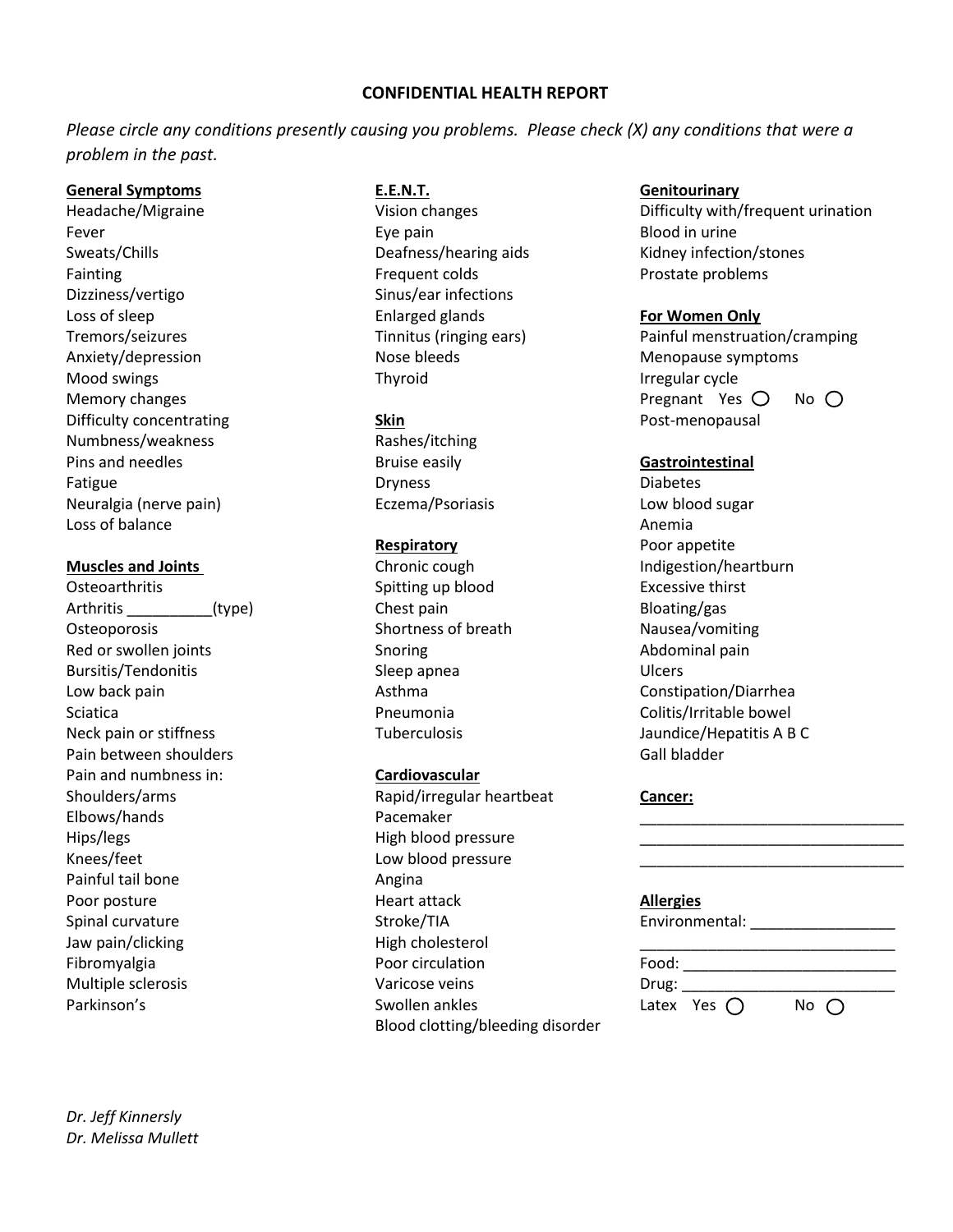### **CONFIDENTIAL HEALTH REPORT**

*Please circle any conditions presently causing you problems. Please check (X) any conditions that were a problem in the past.* 

### **General Symptoms E.E.N.T. Genitourinary**

Fever **Exercise Exercise Exercise Exercise Exercise Exercise Exercise Exercise Exercise Exercise Exercise Exercise Exercise Exercise Exercise Exercise Exercise Exercise Exercise Exercise Exercise Exercise Exercise Exercise** Fainting **Frequent colds Frequent colds Prostate problems** Dizziness/vertigo Sinus/ear infections Loss of sleep Enlarged glands **For Women Only** Anxiety/depression **Nose bleeds** Menopause symptoms Mood swings Thyroid **Irregular cycle** Thyroid **If the South America** Irregular cycle Difficulty concentrating **Skin Skin Skin Post-menopausal** Numbness/weakness Rashes/itching Pins and needles **Bruise easily Gastrointestinal** Fatigue **Diabetes** Dryness **Diabetes** Diabetes Neuralgia (nerve pain) Eczema/Psoriasis Low blood sugar Loss of balance **Anemia** Anemia and Anemia and Anemia and Anemia and Anemia and Anemia and Anemia and Anemia and Anemia and Anemia and Anemia and Anemia and Anemia and Anemia and Anemia and Anemia and Anemia and Anemia and

Osteoarthritis **Spitting up blood** Excessive thirst Excessive thirst Arthritis (type) Chest pain Chest pain Bloating/gas Osteoporosis **Shortness of breath** Nausea/vomiting Nausea Red or swollen joints **Snoring** Snoring **Abdominal pain** Bursitis/Tendonitis and Sleep apnea Ulcers Ulcers Low back pain and the constitution of the Asthma Constitution Constitution (Diarrhea Sciatica Pneumonia Colitis/Irritable bowel Neck pain or stiffness Tuberculosis Tuberculosis and in the state of the state of the SNC Pain between shoulders Gall bladder Gall bladder Gall bladder Pain and numbness in: **Cardiovascular** Hips/legs Hips/legs Hips/legs Hips/legs Hips/legs Hips/legs Hips/legs Hips/legs Hips/legs Hips/legs Hips/legs H Knees/feet Low blood pressure Painful tail bone **Angina** Jaw pain/clicking example and High cholesterol Multiple sclerosis and a varicose veins Varicose veins Parkinson's **Swollen ankles** Parkinson's

*Dr. Jeff Kinnersly Dr. Melissa Mullett* 

Shoulders/arms **Cancer:** Rapid/irregular heartbeat **Cancer:** Elbows/hands Pacemaker \_\_\_\_\_\_\_\_\_\_\_\_\_\_\_\_\_\_\_\_\_\_\_\_\_\_\_\_\_\_\_ Poor posture Heart attack **Allergies** Fibromyalgia entranties and the Poor circulation Food: Exercise Food: Exercise Food: Blood clotting/bleeding disorder

Headache/Migraine **Michanges** Vision changes **Difficulty with/frequent urination** Sweats/Chills **Sweats/Chills** Deafness/hearing aids Kidney infection/stones

Tremors/seizures Tinnitus (ringing ears) Painful menstruation/cramping Memory changes Pregnant Yes No

**Respiratory** Poor appetite **Muscles and Joints Chronic cough Indigestion/heartburn Muscles and Joints** 

Spinal curvature and Stroke/TIA Environmental: \_\_\_\_\_\_\_\_\_\_\_\_\_\_\_\_\_\_\_\_\_\_\_\_\_\_\_\_\_\_\_\_\_

| $Drug:$ $\_\_$ |                     |              |
|----------------|---------------------|--------------|
|                | Latex Yes $\bigcap$ | No $\bigcap$ |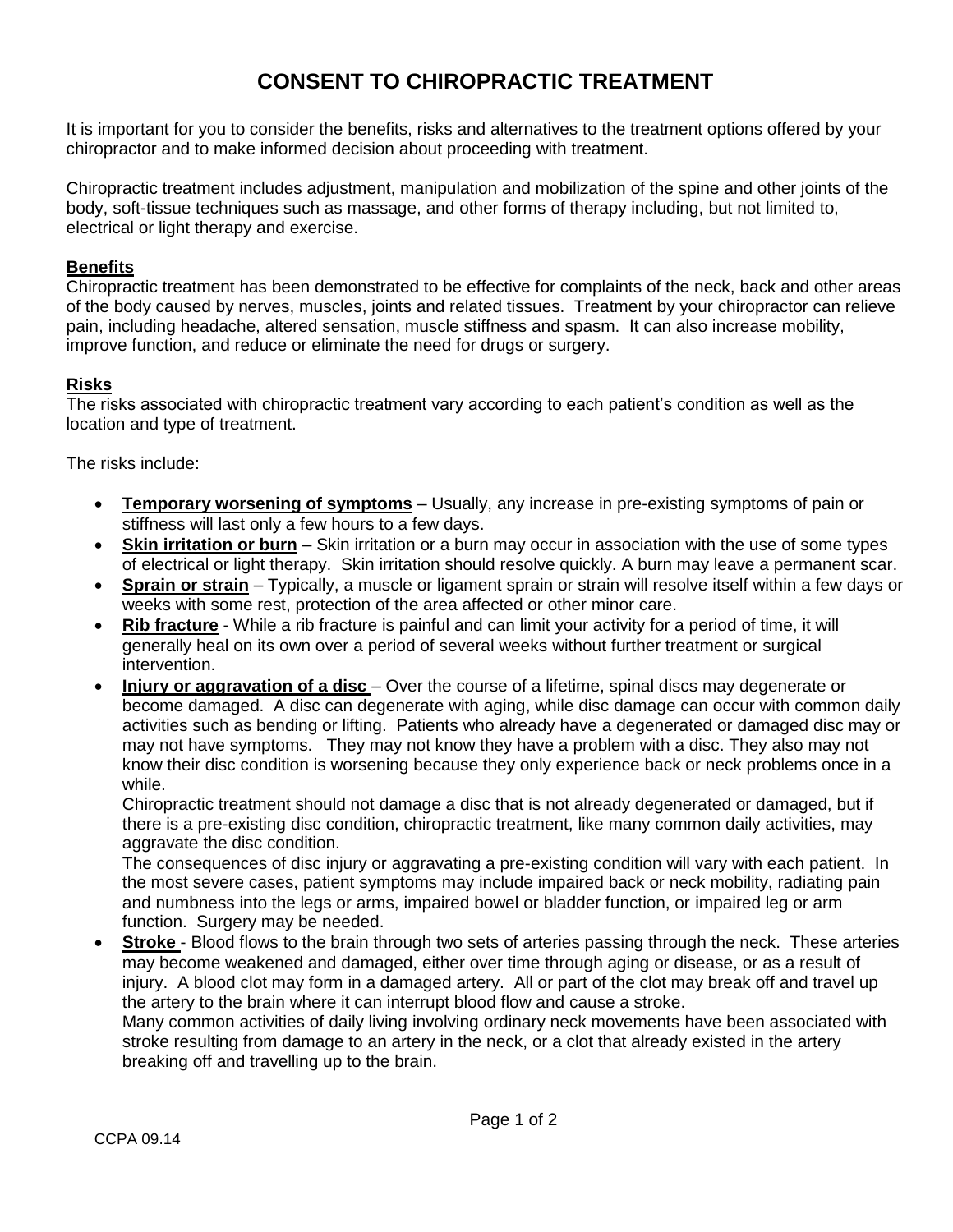# **CONSENT TO CHIROPRACTIC TREATMENT**

It is important for you to consider the benefits, risks and alternatives to the treatment options offered by your chiropractor and to make informed decision about proceeding with treatment.

Chiropractic treatment includes adjustment, manipulation and mobilization of the spine and other joints of the body, soft-tissue techniques such as massage, and other forms of therapy including, but not limited to, electrical or light therapy and exercise.

### **Benefits**

Chiropractic treatment has been demonstrated to be effective for complaints of the neck, back and other areas of the body caused by nerves, muscles, joints and related tissues. Treatment by your chiropractor can relieve pain, including headache, altered sensation, muscle stiffness and spasm. It can also increase mobility, improve function, and reduce or eliminate the need for drugs or surgery.

### **Risks**

The risks associated with chiropractic treatment vary according to each patient's condition as well as the location and type of treatment.

The risks include:

- **Temporary worsening of symptoms** Usually, any increase in pre-existing symptoms of pain or stiffness will last only a few hours to a few days.
- **Skin irritation or burn** Skin irritation or a burn may occur in association with the use of some types of electrical or light therapy. Skin irritation should resolve quickly. A burn may leave a permanent scar.
- **Sprain or strain** Typically, a muscle or ligament sprain or strain will resolve itself within a few days or weeks with some rest, protection of the area affected or other minor care.
- **Rib fracture** While a rib fracture is painful and can limit your activity for a period of time, it will generally heal on its own over a period of several weeks without further treatment or surgical intervention.
- **Injury or aggravation of a disc**  Over the course of a lifetime, spinal discs may degenerate or become damaged. A disc can degenerate with aging, while disc damage can occur with common daily activities such as bending or lifting. Patients who already have a degenerated or damaged disc may or may not have symptoms. They may not know they have a problem with a disc. They also may not know their disc condition is worsening because they only experience back or neck problems once in a while.

Chiropractic treatment should not damage a disc that is not already degenerated or damaged, but if there is a pre-existing disc condition, chiropractic treatment, like many common daily activities, may aggravate the disc condition.

The consequences of disc injury or aggravating a pre-existing condition will vary with each patient. In the most severe cases, patient symptoms may include impaired back or neck mobility, radiating pain and numbness into the legs or arms, impaired bowel or bladder function, or impaired leg or arm function. Surgery may be needed.

 **Stroke** - Blood flows to the brain through two sets of arteries passing through the neck. These arteries may become weakened and damaged, either over time through aging or disease, or as a result of injury. A blood clot may form in a damaged artery. All or part of the clot may break off and travel up the artery to the brain where it can interrupt blood flow and cause a stroke.

Many common activities of daily living involving ordinary neck movements have been associated with stroke resulting from damage to an artery in the neck, or a clot that already existed in the artery breaking off and travelling up to the brain.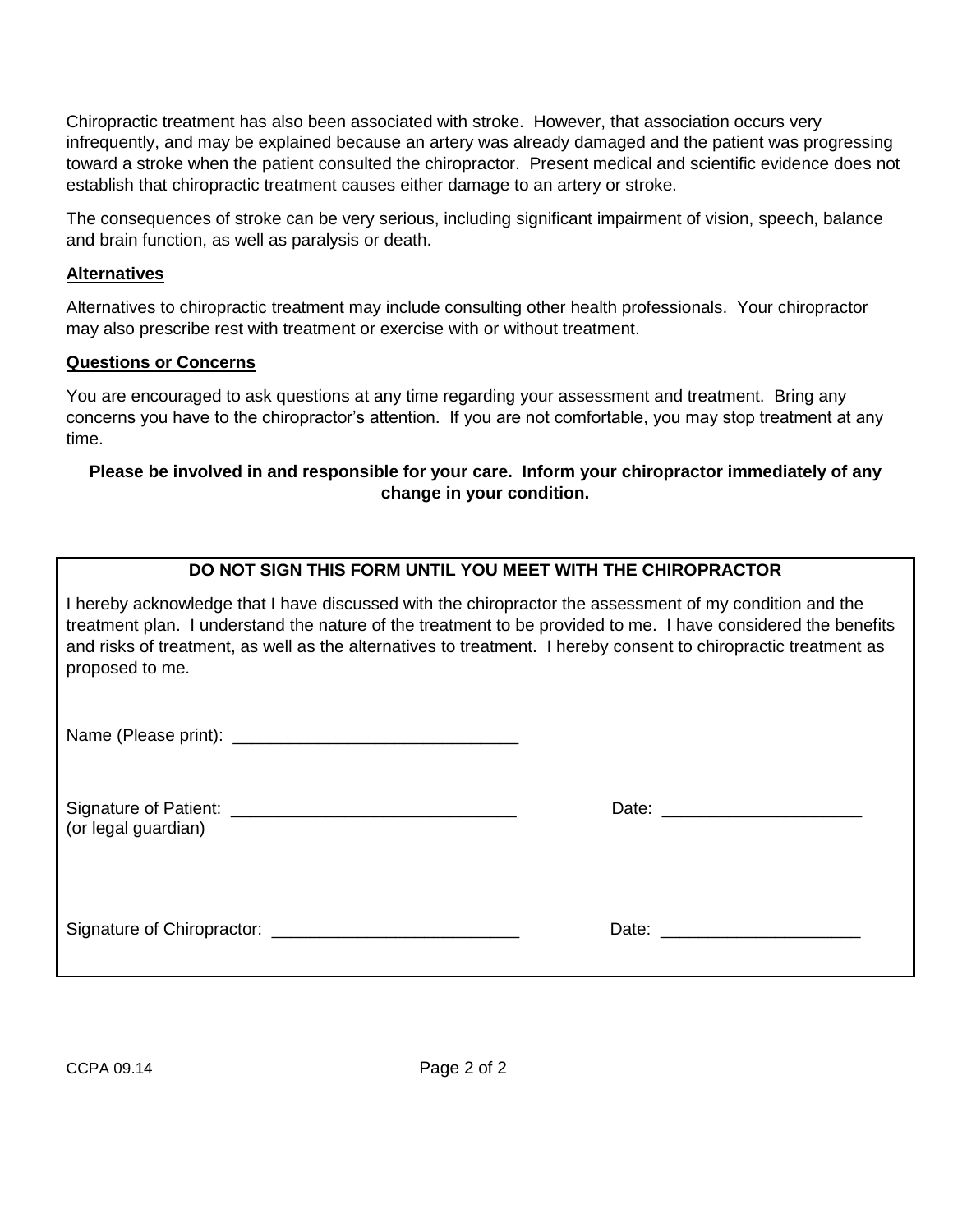Chiropractic treatment has also been associated with stroke. However, that association occurs very infrequently, and may be explained because an artery was already damaged and the patient was progressing toward a stroke when the patient consulted the chiropractor. Present medical and scientific evidence does not establish that chiropractic treatment causes either damage to an artery or stroke.

The consequences of stroke can be very serious, including significant impairment of vision, speech, balance and brain function, as well as paralysis or death.

### **Alternatives**

Alternatives to chiropractic treatment may include consulting other health professionals. Your chiropractor may also prescribe rest with treatment or exercise with or without treatment.

### **Questions or Concerns**

You are encouraged to ask questions at any time regarding your assessment and treatment. Bring any concerns you have to the chiropractor's attention. If you are not comfortable, you may stop treatment at any time.

### **Please be involved in and responsible for your care. Inform your chiropractor immediately of any change in your condition.**

# **DO NOT SIGN THIS FORM UNTIL YOU MEET WITH THE CHIROPRACTOR**

I hereby acknowledge that I have discussed with the chiropractor the assessment of my condition and the treatment plan. I understand the nature of the treatment to be provided to me. I have considered the benefits and risks of treatment, as well as the alternatives to treatment. I hereby consent to chiropractic treatment as proposed to me.

Name (Please print): \_\_\_\_\_\_\_\_\_\_\_\_\_\_\_\_\_\_\_\_\_\_\_\_\_\_\_\_\_\_

| Signature of Patient: | Date: |
|-----------------------|-------|
| (or legal guardian)   |       |

| Date: |  |
|-------|--|
|-------|--|

Signature of Chiropractor: \_\_\_\_\_\_\_\_\_\_\_\_\_\_\_\_\_\_\_\_\_\_\_\_\_\_ Date: \_\_\_\_\_\_\_\_\_\_\_\_\_\_\_\_\_\_\_\_\_

CCPA 09.14 Page 2 of 2